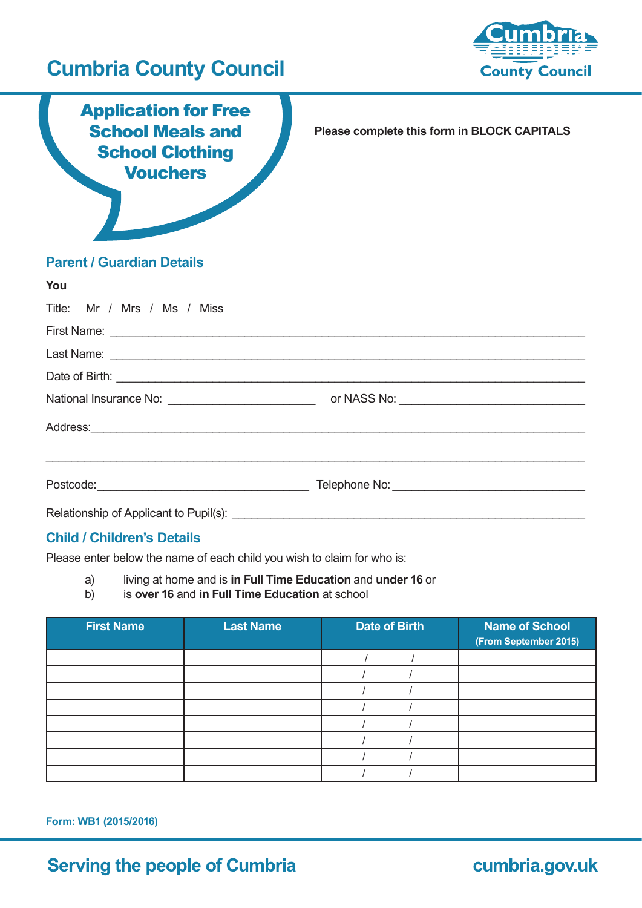# **Cumbria County Council**



Application for Free School Meals and **School Clothing Vouchers** 

**Please complete this form in BLOCK CAPITALS**

### **Parent / Guardian Details**

| You                         |                                                                                                                      |  |
|-----------------------------|----------------------------------------------------------------------------------------------------------------------|--|
| Title: Mr / Mrs / Ms / Miss |                                                                                                                      |  |
|                             |                                                                                                                      |  |
|                             |                                                                                                                      |  |
|                             |                                                                                                                      |  |
|                             |                                                                                                                      |  |
|                             | Address: <u>with a series of the series of the series of the series of the series of the series of the series of</u> |  |
|                             |                                                                                                                      |  |
|                             |                                                                                                                      |  |

### **Child / Children's Details**

Please enter below the name of each child you wish to claim for who is:

- a) living at home and is **in Full Time Education** and **under 16** or
- b) is **over 16** and **in Full Time Education** at school

| <b>First Name</b> | <b>Last Name</b> | <b>Date of Birth</b> | <b>Name of School</b><br>(From September 2015) |
|-------------------|------------------|----------------------|------------------------------------------------|
|                   |                  |                      |                                                |
|                   |                  |                      |                                                |
|                   |                  |                      |                                                |
|                   |                  |                      |                                                |
|                   |                  |                      |                                                |
|                   |                  |                      |                                                |
|                   |                  |                      |                                                |
|                   |                  |                      |                                                |

**Form: WB1 (2015/2016)**

## **Serving the people of Cumbria**

cumbria.gov.uk